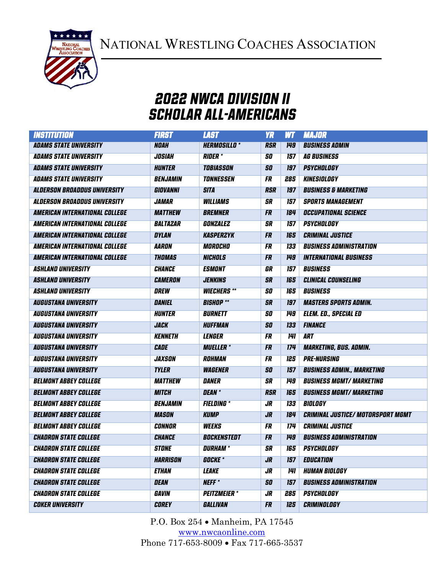NATIONAL WRESTLING COACHES ASSOCIATION



## 2022 NWCA DIVISION II SCHOLAR All-americans

| <b>INSTITUTION</b>                    | <b>FIRST</b>          | <b>LAST</b>           | <b>YR</b>  | <b>WT</b>  | <b>MAJOR</b>                             |
|---------------------------------------|-----------------------|-----------------------|------------|------------|------------------------------------------|
| <b>ADAMS STATE UNIVERSITY</b>         | <b>NOAH</b>           | <b>HERMOSILLO*</b>    | <b>RSR</b> | <b>149</b> | <b>BUSINESS ADMIN</b>                    |
| <b>ADAMS STATE UNIVERSITY</b>         | <b>JOSIAH</b>         | <b>RIDER</b> *        | 50         | 157        | <b>AG BUSINESS</b>                       |
| <b>ADAMS STATE UNIVERSITY</b>         | <b>HUNTER</b>         | <b>TOBIASSON</b>      | 50         | 197        | <b>PSYCHOLOGY</b>                        |
| <b>ADAMS STATE UNIVERSITY</b>         | <b>BENJAMIN</b>       | <b>TONNESSEN</b>      | <b>FR</b>  | 285        | KINESIOLOGY                              |
| <b>ALDERSON BROADDUS UNIVERSITY</b>   | GIOVANNI              | <b>SITA</b>           | <b>RSR</b> | 197        | <b>BUSINESS &amp; MARKETING</b>          |
| <b>ALDERSON BROADDUS UNIVERSITY</b>   | <b>JAMAR</b>          | <b>WILLIAMS</b>       | <b>SR</b>  | 157        | <b>SPORTS MANAGEMENT</b>                 |
| AMERICAN INTERNATIONAL COLLEGE        | <i><b>MATTHEW</b></i> | <b>BREMNER</b>        | <b>FR</b>  | 184        | <b>OCCUPATIONAL SCIENCE</b>              |
| AMERICAN INTERNATIONAL COLLEGE        | BALTAZAR              | GONZALEZ              | <b>SR</b>  | 157        | <b>PSYCHOLOGY</b>                        |
| <b>AMERICAN INTERNATIONAL COLLEGE</b> | <b>DYLAN</b>          | <b>KASPERZYK</b>      | <b>FR</b>  | 165        | <b>CRIMINAL JUSTICE</b>                  |
| <b>AMERICAN INTERNATIONAL COLLEGE</b> | <b>AARON</b>          | MOROCHO               | FR         | <b>133</b> | <b>BUSINESS ADMINISTRATION</b>           |
| <b>AMERICAN INTERNATIONAL COLLEGE</b> | <b>THOMAS</b>         | <b>NICHOLS</b>        | <b>FR</b>  | 149        | <b>INTERNATIONAL BUSINESS</b>            |
| <b>ASHLAND UNIVERSITY</b>             | <b>CHANCE</b>         | <b>ESMONT</b>         | GR         | 157        | <b>BUSINESS</b>                          |
| <b>ASHLAND UNIVERSITY</b>             | CAMERON               | <b>JENKINS</b>        | <b>SR</b>  | 165        | <b>CLINICAL COUNSELING</b>               |
| <b>ASHLAND UNIVERSITY</b>             | <b>DREW</b>           | <b>WIECHERS **</b>    | 50         | 165        | <b>BUSINESS</b>                          |
| <b>AUGUSTANA UNIVERSITY</b>           | DANIEL                | <b>BISHOP</b> **      | <b>SR</b>  | 197        | <b>MASTERS SPORTS ADMIN.</b>             |
| <b>AUGUSTANA UNIVERSITY</b>           | <b>HUNTER</b>         | <b>BURNETT</b>        | <b>SO</b>  | 149        | <b>ELEM. ED., SPECIAL ED</b>             |
| <b>AUGUSTANA UNIVERSITY</b>           | <b>JACK</b>           | <b>HUFFMAN</b>        | <b>SO</b>  | 133        | <b>FINANCE</b>                           |
| <b>AUGUSTANA UNIVERSITY</b>           | <b>KENNETH</b>        | <b>LENGER</b>         | <b>FR</b>  | 141        | ART                                      |
| <b>AUGUSTANA UNIVERSITY</b>           | <b>CADE</b>           | <b>MUELLER</b> *      | <b>FR</b>  | 174        | <b>MARKETING, BUS. ADMIN.</b>            |
| <b>AUGUSTANA UNIVERSITY</b>           | JAXSON                | ROHMAN                | <b>FR</b>  | 125        | <b>PRE-NURSING</b>                       |
| <b>AUGUSTANA UNIVERSITY</b>           | <b>TYLER</b>          | <b><i>WAGENER</i></b> | <b>SO</b>  | 157        | <b>BUSINESS ADMIN., MARKETING</b>        |
| <b>BELMONT ABBEY COLLEGE</b>          | <b>MATTHEW</b>        | <b>DANER</b>          | <b>SR</b>  | <b>149</b> | <b>BUSINESS MGMT/ MARKETING</b>          |
| <b>BELMONT ABBEY COLLEGE</b>          | <b>MITCH</b>          | DEAN *                | <b>RSR</b> | 165        | <b>BUSINESS MGMT/ MARKETING</b>          |
| <b>BELMONT ABBEY COLLEGE</b>          | <b>BENJAMIN</b>       | <b>FIELDING *</b>     | JR.        | 133        | BIOLOGY                                  |
| <b>BELMONT ABBEY COLLEGE</b>          | <b>MASON</b>          | <b>KUMP</b>           | <b>JR</b>  | 184        | <b>CRIMINAL JUSTICE/ MOTORSPORT MGMT</b> |
| <b>BELMONT ABBEY COLLEGE</b>          | CONNOR                | <b>WEEKS</b>          | <b>FR</b>  | <b>174</b> | <b>CRIMINAL JUSTICE</b>                  |
| <b>CHADRON STATE COLLEGE</b>          | <b>CHANCE</b>         | <b>BOCKENSTEDT</b>    | <b>FR</b>  | 149        | <b>BUSINESS ADMINISTRATION</b>           |
| <b>CHADRON STATE COLLEGE</b>          | <b>STONE</b>          | DURHAM *              | <b>SR</b>  | <b>165</b> | <b>PSYCHOLOGY</b>                        |
| <b>CHADRON STATE COLLEGE</b>          | HARRISON              | <i><b>GOCKE</b></i> * | JR         | 157        | <b>EDUCATION</b>                         |
| <b>CHADRON STATE COLLEGE</b>          | <b>ETHAN</b>          | <i><b>LEAKE</b></i>   | JR         | 141        | <b>HUMAN BIOLOGY</b>                     |
| <b>CHADRON STATE COLLEGE</b>          | <b>DEAN</b>           | <b>NEFF</b> *         | <b>SO</b>  | 157        | <b>BUSINESS ADMINISTRATION</b>           |
| <b>CHADRON STATE COLLEGE</b>          | GAVIN                 | <b>PEITZMEIER</b> *   | $J_{R}$    | 285        | <b>PSYCHOLOGY</b>                        |
| <b>COKER UNIVERSITY</b>               | <b>COREY</b>          | GALLIVAN              | <b>FR</b>  | 125        | <i><b>CRIMINOLOGY</b></i>                |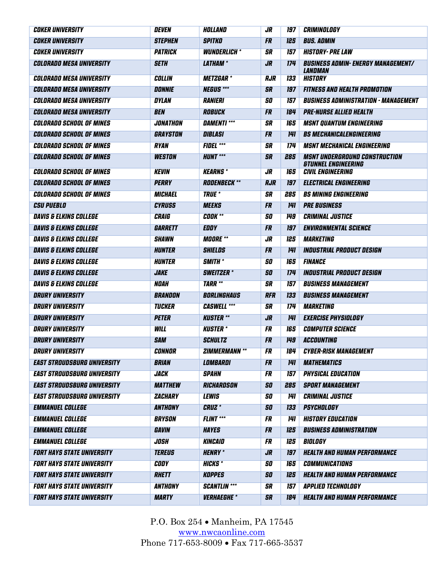| <i><b>COKER UNIVERSITY</b></i>     | <b>DEVEN</b>       | HOLLAND                   | JR         | 197        | <i>CRIMINOLOGY</i>                                                        |
|------------------------------------|--------------------|---------------------------|------------|------------|---------------------------------------------------------------------------|
| <b>COKER UNIVERSITY</b>            | <b>STEPHEN</b>     | <b>SPITKO</b>             | <b>FR</b>  | 125        | <b>BUS. ADMIN</b>                                                         |
| <b>COKER UNIVERSITY</b>            | PATRICK            | <b>WUNDERLICH *</b>       | SR         | 157        | <b>HISTORY- PRE LAW</b>                                                   |
| <b>COLORADO MESA UNIVERSITY</b>    | <b>SETH</b>        | <b>LATHAM</b> *           | <b>JR</b>  | 174        | <b>BUSINESS ADMIN- ENERGY MANAGEMENT/</b><br>LANDMAN                      |
| <b>COLORADO MESA UNIVERSITY</b>    | <b>COLLIN</b>      | <b>METZGAR*</b>           | <b>RJR</b> | 133        | <b>HISTORY</b>                                                            |
| <b>COLORADO MESA UNIVERSITY</b>    | <b>DONNIE</b>      | <b>NEGUS ***</b>          | <b>SR</b>  | 197        | <b>FITNESS AND HEALTH PROMOTION</b>                                       |
| <b>COLORADO MESA UNIVERSITY</b>    | <b>DYLAN</b>       | <b>RANIERI</b>            | SO         | 157        | <b>BUSINESS ADMINISTRATION - MANAGEMENT</b>                               |
| <b>COLORADO MESA UNIVERSITY</b>    | <b>BEN</b>         | <b>ROBUCK</b>             | <b>FR</b>  | 184        | <b>PRE-NURSE ALLIED HEALTH</b>                                            |
| <b>COLORADO SCHOOL OF MINES</b>    | <b>JONATHON</b>    | <b>DAMENTI ***</b>        | <b>SR</b>  | 165        | <b>MSNT QUANTUM ENGINEERING</b>                                           |
| <b>COLORADO SCHOOL OF MINES</b>    | GRAYSTON           | <b>DIBLASI</b>            | <b>FR</b>  | <b>141</b> | <b>BS MECHANICALENGINEERING</b>                                           |
| <b>COLORADO SCHOOL OF MINES</b>    | <b>RYAN</b>        | <b>FIDEL ***</b>          | SR         | 174        | <b>MSNT MECHANICAL ENGINEERING</b>                                        |
| <b>COLORADO SCHOOL OF MINES</b>    | <b>WESTON</b>      | <b>HUNT ***</b>           | <b>SR</b>  | 285        | <b>MSNT UNDERGROUND CONSTRUCTION</b><br><b><i>STUNNEL ENGINEERING</i></b> |
| <b>COLORADO SCHOOL OF MINES</b>    | <b>KEVIN</b>       | <b>KEARNS*</b>            | JR         | 165        | <b>CIVIL ENGINEERING</b>                                                  |
| <b>COLORADO SCHOOL OF MINES</b>    | <b>PERRY</b>       | <b>RODENBECK **</b>       | <b>RJR</b> | 197        | <b>ELECTRICAL ENGINEERING</b>                                             |
| <b>COLORADO SCHOOL OF MINES</b>    | <b>MICHAEL</b>     | <b>TRUE</b> *             | <b>SR</b>  | 285        | <b>BS MINING ENGINEERING</b>                                              |
| <b>CSU PUEBLO</b>                  | <b>CYRUSS</b>      | <b>MEEKS</b>              | <b>FR</b>  | <b>141</b> | <b>PRE BUSINESS</b>                                                       |
| <b>DAVIS &amp; ELKINS COLLEGE</b>  | <b>CRAIG</b>       | <b>COOK **</b>            | 50         | <b>149</b> | <b>CRIMINAL JUSTICE</b>                                                   |
| <b>DAVIS &amp; ELKINS COLLEGE</b>  | <b>GARRETT</b>     | <b>EDDY</b>               | <b>FR</b>  | 197        | <b>ENVIRONMENTAL SCIENCE</b>                                              |
| <b>DAVIS &amp; ELKINS COLLEGE</b>  | <b>SHAWN</b>       | <b>MOORE</b> **           | JR         | 125        | <b>MARKETING</b>                                                          |
| <b>DAVIS &amp; ELKINS COLLEGE</b>  | <b>HUNTER</b>      | <b>SHIELDS</b>            | <b>FR</b>  | 141        | <b>INDUSTRIAL PRODUCT DESIGN</b>                                          |
| <b>DAVIS &amp; ELKINS COLLEGE</b>  | HUNTER             | <b>SMITH</b> *            | <b>SO</b>  | 165        | <b>FINANCE</b>                                                            |
| <b>DAVIS &amp; ELKINS COLLEGE</b>  | <b>JAKE</b>        | <b>SWEITZER</b> *         | <b>SO</b>  | 174        | <b>INDUSTRIAL PRODUCT DESIGN</b>                                          |
| <b>DAVIS &amp; ELKINS COLLEGE</b>  | <b>NOAH</b>        | <b>TARR **</b>            | <b>SR</b>  | 157        | <b>BUSINESS MANAGEMENT</b>                                                |
| <b>DRURY UNIVERSITY</b>            | BRANDON            | <b>BORLINGHAUS</b>        | <b>RFR</b> | 133        | <b>BUSINESS MANAGEMENT</b>                                                |
| <b>DRURY UNIVERSITY</b>            | <b>TUCKER</b>      | <b>CASWELL ***</b>        | SR         | 174        | <b>MARKETING</b>                                                          |
| <b>DRURY UNIVERSITY</b>            | <b>PETER</b>       | <b>KUSTER **</b>          | <b>JR</b>  | <b>141</b> | <b>EXERCISE PHYSIOLOGY</b>                                                |
| <b>DRURY UNIVERSITY</b>            | <b>WILL</b>        | <b>KUSTER</b> *           | <b>FR</b>  | 165        | <b>COMPUTER SCIENCE</b>                                                   |
| <b>DRURY UNIVERSITY</b>            | <b>SAM</b>         | <b>SCHULTZ</b>            | <b>FR</b>  | 149        | <b>ACCOUNTING</b>                                                         |
| <b>DRURY UNIVERSITY</b>            | <b>CONNOR</b>      | <b>ZIMMERMANN **</b>      | <b>FR</b>  |            | <b>184 CYBER-RISK MANAGEMENT</b>                                          |
| <b>EAST STROUDSBURG UNIVERSITY</b> | <b>BRIAN</b>       | <b>LOMBARDI</b>           | <b>FR</b>  | 141        | <b>MATHEMATICS</b>                                                        |
| <b>EAST STROUDSBURG UNIVERSITY</b> | <i><b>JACK</b></i> | <b>SPAHN</b>              | FR         | 157        | <b>PHYSICAL EDUCATION</b>                                                 |
| <b>EAST STROUDSBURG UNIVERSITY</b> | <b>MATTHEW</b>     | RICHARDSON                | <b>SO</b>  | 285        | <b>SPORT MANAGEMENT</b>                                                   |
| <b>EAST STROUDSBURG UNIVERSITY</b> | ZACHARY            | <b>LEWIS</b>              | <b>SO</b>  | 141        | <b>CRIMINAL JUSTICE</b>                                                   |
| <b>EMMANUEL COLLEGE</b>            | <b>ANTHONY</b>     | <b>CRUZ</b> *             | <b>SO</b>  | 133        | <b>PSYCHOLOGY</b>                                                         |
| <b>EMMANUEL COLLEGE</b>            | <b>BRYSON</b>      | <b>FLINT ***</b>          | <b>FR</b>  | <b>141</b> | <b>HISTORY EDUCATION</b>                                                  |
| <b>EMMANUEL COLLEGE</b>            | GAVIN              | <b>HAYES</b>              | <b>FR</b>  | 125        | <b>BUSINESS ADMINISTRATION</b>                                            |
| <b>EMMANUEL COLLEGE</b>            | <b>JOSH</b>        | <b>KINCAID</b>            | FR         | 125        | BIOLOGY                                                                   |
| <b>FORT HAYS STATE UNIVERSITY</b>  | <b>TEREUS</b>      | <b>HENRY</b> *            | <b>JR</b>  | 197        | <b>HEALTH AND HUMAN PERFORMANCE</b>                                       |
| <b>FORT HAYS STATE UNIVERSITY</b>  | <b>CODY</b>        | <b>HICKS*</b>             | SO         | 165        | <b>COMMUNICATIONS</b>                                                     |
| <b>FORT HAYS STATE UNIVERSITY</b>  | <b>RHETT</b>       | <b>KOPPES</b>             | <b>SO</b>  | 125        | <b>HEALTH AND HUMAN PERFORMANCE</b>                                       |
| <b>FORT HAYS STATE UNIVERSITY</b>  | <b>ANTHONY</b>     | <b>SCANTLIN ***</b>       | <b>SR</b>  | 157        | <b>APPLIED TECHNOLOGY</b>                                                 |
| <b>FORT HAYS STATE UNIVERSITY</b>  | <b>MARTY</b>       | <i><b>VERHAEGHE</b></i> * | <b>SR</b>  | 184        | <b>HEALTH AND HUMAN PERFORMANCE</b>                                       |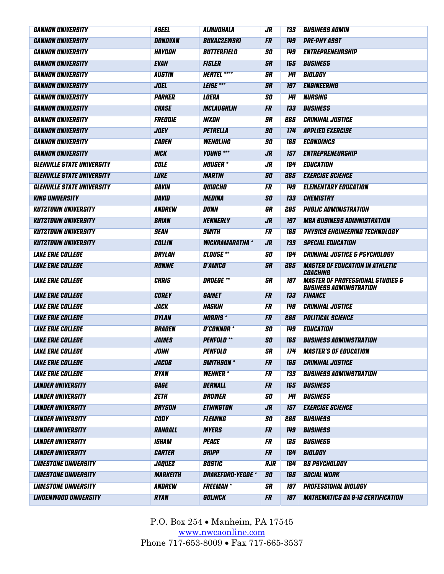| <b>GANNON UNIVERSITY</b>          | <b>ASEEL</b>    | ALMUDHALA             | JR         | 133        | <b>BUSINESS ADMIN</b>                                                         |
|-----------------------------------|-----------------|-----------------------|------------|------------|-------------------------------------------------------------------------------|
| <b>GANNON UNIVERSITY</b>          | DONOVAN         | <b>BUKACZEWSKI</b>    | <b>FR</b>  | 149        | <b>PRE-PHY ASST</b>                                                           |
| <b>GANNON UNIVERSITY</b>          | HAYDON          | BUTTERFIELD           | SO         | 149        | <b>ENTREPRENEURSHIP</b>                                                       |
| <b>GANNON UNIVERSITY</b>          | <b>EVAN</b>     | <b>FISLER</b>         | <b>SR</b>  | 165        | <b>BUSINESS</b>                                                               |
| <b>GANNON UNIVERSITY</b>          | <b>AUSTIN</b>   | <b>HERTEL ****</b>    | <b>SR</b>  | 141        | BIOLOGY                                                                       |
| <b>GANNON UNIVERSITY</b>          | <b>JOEL</b>     | LEISE ***             | <b>SR</b>  | 197        | ENGINEERING                                                                   |
| <b>GANNON UNIVERSITY</b>          | <b>PARKER</b>   | <b>LOERA</b>          | 50         | <b>141</b> | <b>NURSING</b>                                                                |
| <b>GANNON UNIVERSITY</b>          | <b>CHASE</b>    | <b>MCLAUGHLIN</b>     | <b>FR</b>  | 133        | <b>BUSINESS</b>                                                               |
| <b>GANNON UNIVERSITY</b>          | FREDDIE         | <b>NIXON</b>          | <b>SR</b>  | 285        | <b>CRIMINAL JUSTICE</b>                                                       |
| <b>GANNON UNIVERSITY</b>          | <b>JOEY</b>     | <b>PETRELLA</b>       | <b>SO</b>  | 174        | <b>APPLIED EXERCISE</b>                                                       |
| <b>GANNON UNIVERSITY</b>          | <b>CADEN</b>    | <b>WENDLING</b>       | SO         | <b>165</b> | <b>ECONOMICS</b>                                                              |
| <b>GANNON UNIVERSITY</b>          | <b>NICK</b>     | <b>YOUNG ***</b>      | <b>JR</b>  | 157        | ENTREPRENEURSHIP                                                              |
| <b>GLENVILLE STATE UNIVERSITY</b> | <b>COLE</b>     | <b>HOUSER</b> *       | $J_{R}$    | 184        | <b>EDUCATION</b>                                                              |
| <b>GLENVILLE STATE UNIVERSITY</b> | <b>LUKE</b>     | <b>MARTIN</b>         | <b>SO</b>  | 285        | <b>EXERCISE SCIENCE</b>                                                       |
| <b>GLENVILLE STATE UNIVERSITY</b> | <b>GAVIN</b>    | QUIOCHO               | <b>FR</b>  | 149        | <b>ELEMENTARY EDUCATION</b>                                                   |
| <b>KING UNIVERSITY</b>            | <b>DAVID</b>    | <b>MEDINA</b>         | <b>SO</b>  | 133        | <b>CHEMISTRY</b>                                                              |
| <b>KUTZTOWN UNIVERSITY</b>        | ANDREW          | <b>DUNN</b>           | GR         | 285        | <b>PUBLIC ADMINISTRATION</b>                                                  |
| <b>KUTZTOWN UNIVERSITY</b>        | <b>BRIAN</b>    | <b>KENNERLY</b>       | <b>JR</b>  | 197        | <b>MBA BUSINESS ADMINISTRATION</b>                                            |
| <b>KUTZTOWN UNIVERSITY</b>        | <b>SEAN</b>     | <b>SMITH</b>          | <b>FR</b>  | 165        | <b>PHYSICS ENGINEERING TECHNOLOGY</b>                                         |
| <b>KUTZTOWN UNIVERSITY</b>        | <b>COLLIN</b>   | <b>WICKRAMARATNA*</b> | <b>JR</b>  | 133        | <b>SPECIAL EDUCATION</b>                                                      |
| <b>LAKE ERIE COLLEGE</b>          | <b>BRYLAN</b>   | <b>CLOUSE</b> **      | SO         | 184        | <b>CRIMINAL JUSTICE &amp; PSYCHOLOGY</b>                                      |
| <b>LAKE ERIE COLLEGE</b>          | <b>RONNIE</b>   | <b>D'AMICO</b>        | <b>SR</b>  | 285        | <b>MASTER OF EDUCATION IN ATHLETIC</b><br>COACHING                            |
| <b>LAKE ERIE COLLEGE</b>          | <b>CHRIS</b>    | <b>DROEGE **</b>      | <b>SR</b>  | 197        | <b>MASTER OF PROFESSIONAL STUDIES &amp;</b><br><b>BUSINESS ADMINISTRATION</b> |
| <b>LAKE ERIE COLLEGE</b>          | <b>COREY</b>    | <b>GAMET</b>          | <b>FR</b>  | 133        | <b>FINANCE</b>                                                                |
| <b>LAKE ERIE COLLEGE</b>          | <b>JACK</b>     | HASKIN                | FR         | 149        | <b>CRIMINAL JUSTICE</b>                                                       |
| <b>LAKE ERIE COLLEGE</b>          | <b>DYLAN</b>    | <b>NORRIS</b> *       | <b>FR</b>  | 285        | <b>POLITICAL SCIENCE</b>                                                      |
| <b>LAKE ERIE COLLEGE</b>          | <b>BRADEN</b>   | <b>O'CONNOR *</b>     | SO         | <b>149</b> | <b>EDUCATION</b>                                                              |
| <b>LAKE ERIE COLLEGE</b>          | <b>JAMES</b>    | <b>PENFOLD</b> **     | <b>SO</b>  | 165        | <b>BUSINESS ADMINISTRATION</b>                                                |
| <b>LAKE ERIE COLLEGE</b>          | <b>JOHN</b>     | PENFOLD               | <b>SR</b>  | 174        | <b>MASTER'S OF EDUCATION</b>                                                  |
| <b>LAKE ERIE COLLEGE</b>          | <b>JACOB</b>    | <b>SMITHSON</b> *     | <b>FR</b>  | 165        | <b>CRIMINAL JUSTICE</b>                                                       |
| <b>LAKE ERIE COLLEGE</b>          | <b>RYAN</b>     | <b>WEHNER*</b>        | FR         | 133        | <b>BUSINESS ADMINISTRATION</b>                                                |
| <b>LANDER UNIVERSITY</b>          | GAGE            | <b>BERNALL</b>        | <b>FR</b>  | 165        | <b>BUSINESS</b>                                                               |
| <b>LANDER UNIVERSITY</b>          | ZETH            | <b>BROWER</b>         | 50         | 141        | <b>BUSINESS</b>                                                               |
| <b>LANDER UNIVERSITY</b>          | <b>BRYSON</b>   | <b>ETHINGTON</b>      | <b>JR</b>  | 157        | <b>EXERCISE SCIENCE</b>                                                       |
| <b>LANDER UNIVERSITY</b>          | <b>CODY</b>     | <b>FLEMING</b>        | 50         | 285        | <b>BUSINESS</b>                                                               |
| <b>LANDER UNIVERSITY</b>          | RANDALL         | <b>MYERS</b>          | <b>FR</b>  | 149        | <b>BUSINESS</b>                                                               |
| <b>LANDER UNIVERSITY</b>          | <b>ISHAM</b>    | <b>PEACE</b>          | <b>FR</b>  | 125        | <b>BUSINESS</b>                                                               |
| <b>LANDER UNIVERSITY</b>          | <b>CARTER</b>   | <b>SHIPP</b>          | <b>FR</b>  | 184        | BIOLOGY                                                                       |
| <b>LIMESTONE UNIVERSITY</b>       | <b>JAQUEZ</b>   | <b>BOSTIC</b>         | <b>RJR</b> | <b>184</b> | <b>BS PSYCHOLOGY</b>                                                          |
| <b>LIMESTONE UNIVERSITY</b>       | <b>MARKEITH</b> | DRAKEFORD-YEGGE *     | <b>SO</b>  | 165        | <b>SOCIAL WORK</b>                                                            |
| <b>LIMESTONE UNIVERSITY</b>       | ANDREW          | <b>FREEMAN</b> *      | <b>SR</b>  | <b>197</b> | <b>PROFESSIONAL BIOLOGY</b>                                                   |
| <b>LINDENWOOD UNIVERSITY</b>      | <b>RYAN</b>     | GOLNICK               | <b>FR</b>  | 197        | <b>MATHEMATICS BA 9-12 CERTIFICATION</b>                                      |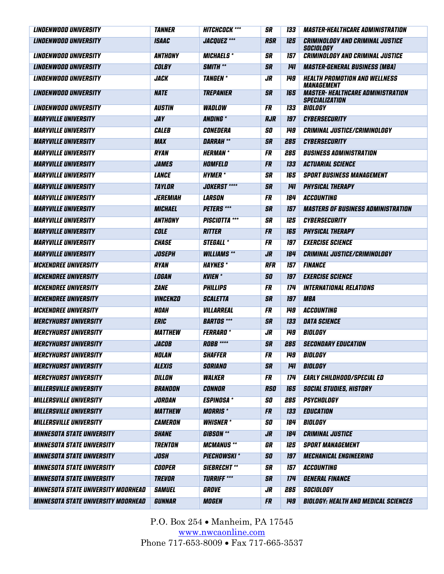| <b>LINDENWOOD UNIVERSITY</b>               | <b>TANNER</b>         | <b>HITCHCOCK ***</b> | <b>SR</b>  | 133        | <i><b>MASTER-HEALTHCARE ADMINISTRATION</b></i>                    |
|--------------------------------------------|-----------------------|----------------------|------------|------------|-------------------------------------------------------------------|
| <b>LINDENWOOD UNIVERSITY</b>               | <b>ISAAC</b>          | <b>JACQUEZ ***</b>   | <b>RSR</b> | 125        | <b>CRIMINOLOGY AND CRIMINAL JUSTICE</b><br>SOCIOLOGY              |
| <b>LINDENWOOD UNIVERSITY</b>               | <b>ANTHONY</b>        | <b>MICHAELS*</b>     | <b>SR</b>  | 157        | <b>CRIMINOLOGY AND CRIMINAL JUSTICE</b>                           |
| <b>LINDENWOOD UNIVERSITY</b>               | <b>COLBY</b>          | <b>SMITH **</b>      | <b>SR</b>  | 141        | <b>MASTER-GENERAL BUSINESS (MBA)</b>                              |
| <b>LINDENWOOD UNIVERSITY</b>               | <b>JACK</b>           | <b>TANGEN</b>        | JR         | 149        | <b>HEALTH PROMOTION AND WELLNESS</b><br><b>MANAGEMENT</b>         |
| <i><b>LINDENWOOD UNIVERSITY</b></i>        | <b>NATE</b>           | TREPANIER            | <b>SR</b>  | 165        | <b>MASTER- HEALTHCARE ADMINISTRATION</b><br><b>SPECIALIZATION</b> |
| <b>LINDENWOOD UNIVERSITY</b>               | <b>AUSTIN</b>         | <b>WADLOW</b>        | <b>FR</b>  | <b>133</b> | BIOLOGY                                                           |
| <b>MARYVILLE UNIVERSITY</b>                | JAY                   | <b>ANDING</b> *      | <b>RJR</b> | 197        | <b>CYBERSECURITY</b>                                              |
| <b>MARYVILLE UNIVERSITY</b>                | <b>CALEB</b>          | CONEDERA             | SO         | 149        | <b>CRIMINAL JUSTICE/CRIMINOLOGY</b>                               |
| <b>MARYVILLE UNIVERSITY</b>                | <b>MAX</b>            | <b>DARRAH **</b>     | <b>SR</b>  | 285        | <b>CYBERSECURITY</b>                                              |
| <b>MARYVILLE UNIVERSITY</b>                | <b>RYAN</b>           | <b>HERMAN</b> *      | FR         | 285        | <b>BUSINESS ADMINISTRATION</b>                                    |
| <b>MARYVILLE UNIVERSITY</b>                | <b>JAMES</b>          | HOMFELD              | <b>FR</b>  | 133        | <b>ACTUARIAL SCIENCE</b>                                          |
| <b>MARYVILLE UNIVERSITY</b>                | <b>LANCE</b>          | <b>HYMER</b> *       | <b>SR</b>  | 165        | <b>SPORT BUSINESS MANAGEMENT</b>                                  |
| <b>MARYVILLE UNIVERSITY</b>                | <b>TAYLOR</b>         | <b>JOKERST ****</b>  | <b>SR</b>  | <b>141</b> | <b>PHYSICAL THERAPY</b>                                           |
| <b>MARYVILLE UNIVERSITY</b>                | <b>JEREMIAH</b>       | <b>LARSON</b>        | FR         | 184        | <b>ACCOUNTING</b>                                                 |
| <b>MARYVILLE UNIVERSITY</b>                | <b>MICHAEL</b>        | <b>PETERS</b> ***    | <b>SR</b>  | 157        | <b>MASTERS OF BUSINESS ADMINISTRATION</b>                         |
| <b>MARYVILLE UNIVERSITY</b>                | ANTHONY               | <b>PISCIOTTA</b> *** | SR         | 125        | <b>CYBERSECURITY</b>                                              |
| <b>MARYVILLE UNIVERSITY</b>                | <b>COLE</b>           | <b>RITTER</b>        | <b>FR</b>  | 165        | <b>PHYSICAL THERAPY</b>                                           |
| <b>MARYVILLE UNIVERSITY</b>                | <b>CHASE</b>          | <b>STEGALL *</b>     | <b>FR</b>  | 197        | <b>EXERCISE SCIENCE</b>                                           |
| <b>MARYVILLE UNIVERSITY</b>                | <b>JOSEPH</b>         | <b>WILLIAMS**</b>    | <b>JR</b>  | 184        | <b>CRIMINAL JUSTICE/CRIMINOLOGY</b>                               |
| <b>MCKENDREE UNIVERSITY</b>                | <b>RYAN</b>           | <b>HAYNES*</b>       | <b>RFR</b> | 157        | <b>FINANCE</b>                                                    |
| <b>MCKENDREE UNIVERSITY</b>                | <b>LOGAN</b>          | <b>KVIEN</b> *       | <b>SO</b>  | 197        | <b>EXERCISE SCIENCE</b>                                           |
| <b>MCKENDREE UNIVERSITY</b>                | <b>ZANE</b>           | <b>PHILLIPS</b>      | FR         | 174        | <b>INTERNATIONAL RELATIONS</b>                                    |
| <b>MCKENDREE UNIVERSITY</b>                | <b>VINCENZO</b>       | <b>SCALETTA</b>      | <b>SR</b>  | 197        | <b>MBA</b>                                                        |
| <b>MCKENDREE UNIVERSITY</b>                | <b>NOAH</b>           | VILLARREAL           | <b>FR</b>  | <b>149</b> | <b>ACCOUNTING</b>                                                 |
| <b>MERCYHURST UNIVERSITY</b>               | <b>ERIC</b>           | <b>BARTOS</b> ***    | <b>SR</b>  | 133        | <b>DATA SCIENCE</b>                                               |
| <b>MERCYHURST UNIVERSITY</b>               | <b>MATTHEW</b>        | <b>FERRARO*</b>      | JR         | 149        | BIOLOGY                                                           |
| <b>MERCYHURST UNIVERSITY</b>               | <b>JACOB</b>          | <b>ROBB ****</b>     | <b>SR</b>  | 285        | <b>SECONDARY EDUCATION</b>                                        |
| <b>MERCYHURST UNIVERSITY</b>               | NOLAN                 | <b>SHAFFER</b>       | FR         | 149        | BIOLOGY                                                           |
| <b>MERCYHURST UNIVERSITY</b>               | <b>ALEXIS</b>         | SORIANO              | <b>SR</b>  | 141        | BIOLOGY                                                           |
| <b>MERCYHURST UNIVERSITY</b>               | DILLON                | <b><i>WALKER</i></b> | <b>FR</b>  | <b>174</b> | <b>EARLY CHILDHOOD/SPECIAL ED</b>                                 |
| <b>MILLERSVILLE UNIVERSITY</b>             | <b>BRANDON</b>        | <b>CONNOR</b>        | <b>RSO</b> | 165        | <b>SOCIAL STUDIES, HISTORY</b>                                    |
| <b>MILLERSVILLE UNIVERSITY</b>             | <b>JORDAN</b>         | <b>ESPINOSA*</b>     | SO         | 285        | <b>PSYCHOLOGY</b>                                                 |
| <b>MILLERSVILLE UNIVERSITY</b>             | <b>MATTHEW</b>        | <b>MORRIS</b> *      | <b>FR</b>  | 133        | <b>EDUCATION</b>                                                  |
| <b>MILLERSVILLE UNIVERSITY</b>             | <b><i>CAMERON</i></b> | <b>WHISNER*</b>      | SO         | 184        | BIOLOGY                                                           |
| <b>MINNESOTA STATE UNIVERSITY</b>          | <b>SHANE</b>          | <b>GIBSON</b> **     | <b>JR</b>  | 184        | <b>CRIMINAL JUSTICE</b>                                           |
| <b>MINNESOTA STATE UNIVERSITY</b>          | <b>TRENTON</b>        | <b>MCMANUS **</b>    | GR         | 125        | <b>SPORT MANAGEMENT</b>                                           |
| <b>MINNESOTA STATE UNIVERSITY</b>          | <b>JOSH</b>           | <b>PIECHOWSKI*</b>   | <b>SO</b>  | 197        | <b>MECHANICAL ENGINEERING</b>                                     |
| <b>MINNESOTA STATE UNIVERSITY</b>          | COOPER                | <b>SIEBRECHT</b> **  | SR         | 157        | ACCOUNTING                                                        |
| <b>MINNESOTA STATE UNIVERSITY</b>          | <b>TREVOR</b>         | <b>TURRIFF ***</b>   | <b>SR</b>  | 174        | <b>GENERAL FINANCE</b>                                            |
| <b>MINNESOTA STATE UNIVERSITY MOORHEAD</b> | <b>SAMUEL</b>         | <b>GROVE</b>         | JR         | 285        | SOCIOLOGY                                                         |
| <b>MINNESOTA STATE UNIVERSITY MOORHEAD</b> | GUNNAR                | <b>MOGEN</b>         | <b>FR</b>  | 149        | <b>BIOLOGY: HEALTH AND MEDICAL SCIENCES</b>                       |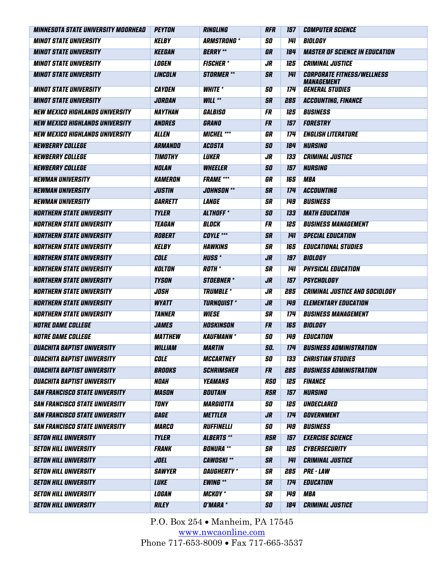| <i><b>MINNESOTA STATE UNIVERSITY MOORHEAD</b></i> | PEYTON         | <b>RINGLING</b>         | <b>RFR</b>     | 157        | <i><b>COMPUTER SCIENCE</b></i>                         |
|---------------------------------------------------|----------------|-------------------------|----------------|------------|--------------------------------------------------------|
| <b>MINOT STATE UNIVERSITY</b>                     | <b>KELBY</b>   | <b>ARMSTRONG *</b>      | SO             | 141        | BIOLOGY                                                |
| <b>MINOT STATE UNIVERSITY</b>                     | <b>KEEGAN</b>  | <b>BERRY</b> **         | GR             | 184        | <b>MASTER OF SCIENCE IN EDUCATION</b>                  |
| <b>MINOT STATE UNIVERSITY</b>                     | <b>LOGEN</b>   | <b>FISCHER*</b>         | JR             | 125        | <b>CRIMINAL JUSTICE</b>                                |
| <b>MINOT STATE UNIVERSITY</b>                     | <b>LINCOLN</b> | <b>STORMER **</b>       | <b>SR</b>      | 141        | <b>CORPORATE FITNESS/WELLNESS</b><br><b>MANAGEMENT</b> |
| <b>MINOT STATE UNIVERSITY</b>                     | <b>CAYDEN</b>  | <b>WHITE</b> *          | 50             | 174        | <b>GENERAL STUDIES</b>                                 |
| <b>MINOT STATE UNIVERSITY</b>                     | JORDAN         | <b>WILL **</b>          | <b>SR</b>      | 285        | <b>ACCOUNTING, FINANCE</b>                             |
| <b>NEW MEXICO HIGHLANDS UNIVERSITY</b>            | NAYTHAN        | GALBISO                 | <b>FR</b>      | 125        | <b>BUSINESS</b>                                        |
| <b>NEW MEXICO HIGHLANDS UNIVERSITY</b>            | <b>ANDRES</b>  | GRANO                   | <b>FR</b>      | 157        | <b>FORESTRY</b>                                        |
| <b>NEW MEXICO HIGHLANDS UNIVERSITY</b>            | <b>ALLEN</b>   | <b>MICHEL ***</b>       | GR             | 174        | <b>ENGLISH LITERATURE</b>                              |
| <b>NEWBERRY COLLEGE</b>                           | ARMANDO        | <b>ACOSTA</b>           | <b>SO</b>      | 184        | <b>NURSING</b>                                         |
| <b>NEWBERRY COLLEGE</b>                           | <b>TIMOTHY</b> | <b>LUKER</b>            | JR             | 133        | <b>CRIMINAL JUSTICE</b>                                |
| <b>NEWBERRY COLLEGE</b>                           | <b>NOLAN</b>   | <b>WHEELER</b>          | <b>SO</b>      | 157        | NURSING                                                |
| <b>NEWMAN UNIVERSITY</b>                          | <b>KAMERON</b> | <b>FRAME</b> ***        | GR             | 165        | <b>MBA</b>                                             |
| <b>NEWMAN UNIVERSITY</b>                          | <b>JUSTIN</b>  | <b>JOHNSON **</b>       | <b>SR</b>      | 174        | <b>ACCOUNTING</b>                                      |
| <b>NEWMAN UNIVERSITY</b>                          | GARRETT        | <b>LANGE</b>            | <b>SR</b>      | 149        | <b>BUSINESS</b>                                        |
| <b>NORTHERN STATE UNIVERSITY</b>                  | <b>TYLER</b>   | <b>ALTHOFF</b> *        | SO             | 133        | <b>MATH EDUCATION</b>                                  |
| <b>NORTHERN STATE UNIVERSITY</b>                  | <b>TEAGAN</b>  | <b>BLOCK</b>            | <b>FR</b>      | 125        | <b>BUSINESS MANAGEMENT</b>                             |
| <b>NORTHERN STATE UNIVERSITY</b>                  | <b>ROBERT</b>  | <b>COYLE ***</b>        | <b>SR</b>      | 141        | <b>SPECIAL EDUCATION</b>                               |
| <b>NORTHERN STATE UNIVERSITY</b>                  | <b>KELBY</b>   | <b>HAWKINS</b>          | <b>SR</b>      | 165        | <b>EDUCATIONAL STUDIES</b>                             |
| <b>NORTHERN STATE UNIVERSITY</b>                  | <b>COLE</b>    | <b>HUSS*</b>            | JR             | 197        | <b>BIOLOGY</b>                                         |
| <b>NORTHERN STATE UNIVERSITY</b>                  | KOLTON         | <b>ROTH</b> *           | <b>SR</b>      | 141        | <b>PHYSICAL EDUCATION</b>                              |
| <b>NORTHERN STATE UNIVERSITY</b>                  | <b>TYSON</b>   | <b>STOEBNER</b> *       | JR             | 157        | <b>PSYCHOLOGY</b>                                      |
| <b>NORTHERN STATE UNIVERSITY</b>                  | <b>JOSH</b>    | <b>TRUMBLE*</b>         | JR             | 285        | <b>CRIMINAL JUSTICE AND SOCIOLOGY</b>                  |
| <b>NORTHERN STATE UNIVERSITY</b>                  | <b>WYATT</b>   | <b>TURNQUIST *</b>      | J <sub>R</sub> | 149        | <b>ELEMENTARY EDUCATION</b>                            |
| <b>NORTHERN STATE UNIVERSITY</b>                  | <b>TANNER</b>  | <b>WIESE</b>            | <b>SR</b>      | 174        | <b>BUSINESS MANAGEMENT</b>                             |
| <b>NOTRE DAME COLLEGE</b>                         | <b>JAMES</b>   | HOSKINSON               | <b>FR</b>      | 165        | BIOLOGY                                                |
| <i><b>NOTRE DAME COLLEGE</b></i>                  | <b>MATTHEW</b> | <b>KAUFMANN*</b>        | SO             | 149        | <b>EDUCATION</b>                                       |
| <b>OUACHITA BAPTIST UNIVERSITY</b>                | <b>WILLIAM</b> | <b>MARTIN</b>           | SO.            | 174        | <b>BUSINESS ADMINISTRATION</b>                         |
| <b>OUACHITA BAPTIST UNIVERSITY</b>                | <b>COLE</b>    | <b>MCCARTNEY</b>        | SO             | 133        | <b>CHRISTIAN STUDIES</b>                               |
| <b>OUACHITA BAPTIST UNIVERSITY</b>                | <b>BROOKS</b>  | <b>SCHRIMSHER</b>       | <b>FR</b>      | 285        | <b>BUSINESS ADMINISTRATION</b>                         |
| <b>OUACHITA BAPTIST UNIVERSITY</b>                | <b>NOAH</b>    | <b>YEAMANS</b>          | <b>RSO</b>     | 125        | <b>FINANCE</b>                                         |
| <b>SAN FRANCISCO STATE UNIVERSITY</b>             | <b>MASON</b>   | <b>BOUTAIN</b>          | <b>RSR</b>     | 157        | <b>NURSING</b>                                         |
| <b>SAN FRANCISCO STATE UNIVERSITY</b>             | <b>TONY</b>    | <i><b>MARGIOTTA</b></i> | SO             | 125        | UNDECLARED                                             |
| <b>SAN FRANCISCO STATE UNIVERSITY</b>             | GAGE           | <b>METTLER</b>          | <b>JR</b>      | 174        | GOVERNMENT                                             |
| <b>SAN FRANCISCO STATE UNIVERSITY</b>             | <b>MARCO</b>   | <b>RUFFINELLI</b>       | 50             | 149        | <b>BUSINESS</b>                                        |
| <b>SETON HILL UNIVERSITY</b>                      | <b>TYLER</b>   | <b>ALBERTS</b> **       | <b>RSR</b>     | 157        | <b>EXERCISE SCIENCE</b>                                |
| <b>SETON HILL UNIVERSITY</b>                      | <b>FRANK</b>   | <b>BONURA</b> **        | SR             | 125        | <b>CYBERSECURITY</b>                                   |
| <b>SETON HILL UNIVERSITY</b>                      | <b>JOEL</b>    | <b>CAWOSKI**</b>        | <b>SR</b>      | 141        | <b>CRIMINAL JUSTICE</b>                                |
| <b>SETON HILL UNIVERSITY</b>                      | <b>SAWYER</b>  | <b>DAUGHERTY</b> *      | <b>SR</b>      | 285        | <b>PRE - LAW</b>                                       |
| <b>SETON HILL UNIVERSITY</b>                      | <b>LUKE</b>    | <b>EWING **</b>         | <b>SR</b>      | 174        | <b>EDUCATION</b>                                       |
| <b>SETON HILL UNIVERSITY</b>                      | <b>LOGAN</b>   | <b>MCKOY</b> *          | <b>SR</b>      | <b>149</b> | <b>MBA</b>                                             |
| <b>SETON HILL UNIVERSITY</b>                      | <b>RILEY</b>   | O'MARA *                | <b>SO</b>      | 184        | <b>CRIMINAL JUSTICE</b>                                |
|                                                   |                |                         |                |            |                                                        |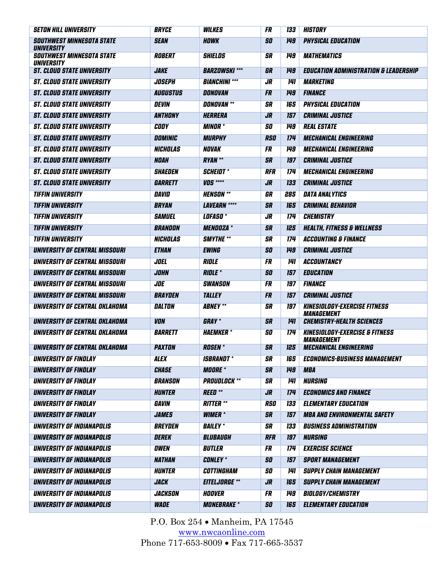| <b>SETON HILL UNIVERSITY</b>                          | <b>BRYCE</b>         | <b><i>WILKES</i></b> | FR         | 133        | HISTORY                                                               |
|-------------------------------------------------------|----------------------|----------------------|------------|------------|-----------------------------------------------------------------------|
| <b>SOUTHWEST MINNESOTA STATE</b><br><b>UNIVERSITY</b> | <b>SEAN</b>          | <b>HOWK</b>          | SO         | 149        | <b>PHYSICAL EDUCATION</b>                                             |
| <b>SOUTHWEST MINNESOTA STATE</b><br>UNIVERSITY        | <b>ROBERT</b>        | <b>SHIELDS</b>       | SR         | <b>149</b> | <b><i>MATHEMATICS</i></b>                                             |
| <i><b>ST. CLOUD STATE UNIVERSITY</b></i>              | <b>JAKE</b>          | <b>BARZOWSKI***</b>  | GR         | 149        | <b>EDUCATION ADMINISTRATION &amp; LEADERSHIP</b>                      |
| <b>ST. CLOUD STATE UNIVERSITY</b>                     | <b>JOSEPH</b>        | <b>BIANCHINI ***</b> | JR         | 141        | <i><b>MARKETING</b></i>                                               |
| <b>ST. CLOUD STATE UNIVERSITY</b>                     | <b>AUGUSTUS</b>      | DONOVAN              | <b>FR</b>  | 149        | <b>FINANCE</b>                                                        |
| <b>ST. CLOUD STATE UNIVERSITY</b>                     | <b>DEVIN</b>         | <b>DONOVAN</b> **    | SR         | 165        | <b>PHYSICAL EDUCATION</b>                                             |
| <b>ST. CLOUD STATE UNIVERSITY</b>                     | ANTHONY              | <b>HERRERA</b>       | JR         | 157        | <b>CRIMINAL JUSTICE</b>                                               |
| <b>ST. CLOUD STATE UNIVERSITY</b>                     | CODY                 | <b>MINOR</b> *       | <b>SO</b>  | 149        | <b>REAL ESTATE</b>                                                    |
| <b>ST. CLOUD STATE UNIVERSITY</b>                     | <b>DOMINIC</b>       | <b>MURPHY</b>        | <b>RSO</b> | 174        | <b>MECHANICAL ENGINEERING</b>                                         |
| <b>ST. CLOUD STATE UNIVERSITY</b>                     | <b>NICHOLAS</b>      | <b>NOVAK</b>         | <b>FR</b>  | <b>149</b> | <b>MECHANICAL ENGINEERING</b>                                         |
| <b>ST. CLOUD STATE UNIVERSITY</b>                     | <b>NOAH</b>          | <b>RYAN</b> **       | SR         | 197        | <b>CRIMINAL JUSTICE</b>                                               |
| <b>ST. CLOUD STATE UNIVERSITY</b>                     | <b>SHAEDEN</b>       | <i>SCHEIDT</i> *     | <b>RFR</b> | 174        | <b>MECHANICAL ENGINEERING</b>                                         |
| <b>ST. CLOUD STATE UNIVERSITY</b>                     | <b>GARRETT</b>       | <b>VOS</b> ****      | JR         | 133        | <b>CRIMINAL JUSTICE</b>                                               |
| <b>TIFFIN UNIVERSITY</b>                              | DAVID                | <b>HENSON</b> **     | GR         | 285        | <b>DATA ANALYTICS</b>                                                 |
| <b>TIFFIN UNIVERSITY</b>                              | <b>BRYAN</b>         | <b>LAVEARN ****</b>  | <b>SR</b>  | 165        | <b>CRIMINAL BEHAVIOR</b>                                              |
| <b>TIFFIN UNIVERSITY</b>                              | <b>SAMUEL</b>        | <b>LOFASO</b> *      | JR         | <b>174</b> | <b>CHEMISTRY</b>                                                      |
| <b>TIFFIN UNIVERSITY</b>                              | BRANDON              | <b>MENDOZA</b> *     | SR         | 125        | <b>HEALTH, FITNESS &amp; WELLNESS</b>                                 |
| <b>TIFFIN UNIVERSITY</b>                              | <b>NICHOLAS</b>      | <b>SMYTHE **</b>     | SR         | 174        | <b>ACCOUNTING &amp; FINANCE</b>                                       |
| UNIVERSITY OF CENTRAL MISSOURI                        | <b>ETHAN</b>         | <b>EWING</b>         | <b>SO</b>  | 149        | <b>CRIMINAL JUSTICE</b>                                               |
| UNIVERSITY OF CENTRAL MISSOURI                        | JOEL                 | RIDLE                | FR         | 141        | <b>ACCOUNTANCY</b>                                                    |
| UNIVERSITY OF CENTRAL MISSOURI                        | <b>JOHN</b>          | <b>RIDLE *</b>       | SO         | 157        | <b>EDUCATION</b>                                                      |
| UNIVERSITY OF CENTRAL MISSOURI                        | <b>JOE</b>           | <b>SWANSON</b>       | FR         | 197        | <b>FINANCE</b>                                                        |
| UNIVERSITY OF CENTRAL MISSOURI                        | <b>BRAYDEN</b>       | <b>TALLEY</b>        | <b>FR</b>  | 157        | <b>CRIMINAL JUSTICE</b>                                               |
| UNIVERSITY OF CENTRAL OKLAHOMA                        | DALTON               | <b>ABNEY</b> **      | SR         | 197        | <b>KINESIOLOGY-EXERCISE FITNESS</b><br><i><b>MANAGEMENT</b></i>       |
| UNIVERSITY OF CENTRAL OKLAHOMA                        | <b>VON</b>           | <b>GRAY</b> *        | SR         | 141        | <b>CHEMISTRY-HEALTH SCIENCES</b>                                      |
| UNIVERSITY OF CENTRAL OKLAHOMA                        | <b>BARRETT</b>       | <b>HAEMKER*</b>      | SO         | 174        | <b>KINESIOLOGY-EXERCISE &amp; FITNESS</b><br><i><b>MANAGEMENT</b></i> |
| UNIVERSITY OF CENTRAL OKLAHOMA                        | <i><b>PAXTON</b></i> | <b>ROSEN</b> *       | SR         | 125        | <b>MECHANICAL ENGINEERING</b>                                         |
| UNIVERSITY OF FINDLAY                                 | <b>ALEX</b>          | <b>ISBRANDT*</b>     | SR         | 165        | <b>ECONOMICS-BUSINESS MANAGEMENT</b>                                  |
| UNIVERSITY OF FINDLAY                                 | <b>CHASE</b>         | <b>MOORE</b> *       | <b>SR</b>  | 149        | <b>MBA</b>                                                            |
| UNIVERSITY OF FINDLAY                                 | BRANSON              | <b>PROUDLOCK **</b>  | SR         | 141        | <b>NURSING</b>                                                        |
| UNIVERSITY OF FINDLAY                                 | <b>HUNTER</b>        | <b>REED</b> **       | <b>JR</b>  | 174        | <b>ECONOMICS AND FINANCE</b>                                          |
| UNIVERSITY OF FINDLAY                                 | GAVIN                | <b>RITTER **</b>     | <b>RSO</b> | <b>133</b> | <b>ELEMENTARY EDUCATION</b>                                           |
| UNIVERSITY OF FINDLAY                                 | <b>JAMES</b>         | <b>WIMER</b> *       | <b>SR</b>  | 157        | <b>MBA AND ENVIRONMENTAL SAFETY</b>                                   |
| UNIVERSITY OF INDIANAPOLIS                            | <b>BREYDEN</b>       | <b>BAILEY</b> *      | SR         | 133        | <b>BUSINESS ADMINISTRATION</b>                                        |
| UNIVERSITY OF INDIANAPOLIS                            | DEREK                | <b>BLUBAUGH</b>      | <b>RFR</b> | 197        | <b>NURSING</b>                                                        |
| UNIVERSITY OF INDIANAPOLIS                            | <b>OWEN</b>          | <b>BUTLER</b>        | <b>FR</b>  | 174        | <b>EXERCISE SCIENCE</b>                                               |
| UNIVERSITY OF INDIANAPOLIS                            | <b>NATHAN</b>        | <b>CONLEY *</b>      | <b>SO</b>  | 157        | <b>SPORT MANAGEMENT</b>                                               |
| UNIVERSITY OF INDIANAPOLIS                            | <b>HUNTER</b>        | <b>COTTINGHAM</b>    | 50         | 141        | <b>SUPPLY CHAIN MANAGEMENT</b>                                        |
| UNIVERSITY OF INDIANAPOLIS                            | <b>JACK</b>          | <b>EITELJORGE</b> ** | JR         | 165        | <b>SUPPLY CHAIN MANAGEMENT</b>                                        |
| UNIVERSITY OF INDIANAPOLIS                            | <b>JACKSON</b>       | HOOVER               | <b>FR</b>  | 149        | <b>BIOLOGY/CHEMISTRY</b>                                              |
| UNIVERSITY OF INDIANAPOLIS                            | <b>WADE</b>          | <b>MONEBRAKE *</b>   | <b>SO</b>  | 165        | <b>ELEMENTARY EDUCATION</b>                                           |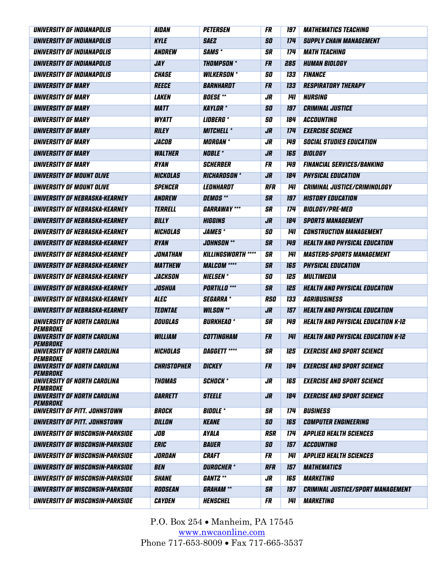| UNIVERSITY OF INDIANAPOLIS                                    | <i><b>AIDAN</b></i> | <b>PETERSEN</b>           | FR         | 197        | <b>MATHEMATICS TEACHING</b>               |
|---------------------------------------------------------------|---------------------|---------------------------|------------|------------|-------------------------------------------|
| UNIVERSITY OF INDIANAPOLIS                                    | <b>KYLE</b>         | <b>SAEZ</b>               | <b>SO</b>  | 174        | <b>SUPPLY CHAIN MANAGEMENT</b>            |
| UNIVERSITY OF INDIANAPOLIS                                    | ANDREW              | <b>SAMS</b> *             | <b>SR</b>  | 174        | <b>MATH TEACHING</b>                      |
| UNIVERSITY OF INDIANAPOLIS                                    | JAY                 | <b>THOMPSON</b> *         | <b>FR</b>  | 285        | <b>HUMAN BIOLOGY</b>                      |
| UNIVERSITY OF INDIANAPOLIS                                    | <b>CHASE</b>        | <b>WILKERSON</b> *        | <b>SO</b>  | 133        | <b>FINANCE</b>                            |
| UNIVERSITY OF MARY                                            | <b>REECE</b>        | BARNHARDT                 | <b>FR</b>  | 133        | <b>RESPIRATORY THERAPY</b>                |
| UNIVERSITY OF MARY                                            | <b>LAKEN</b>        | <b>BOESE</b> **           | JR         | <b>141</b> | <b>NURSING</b>                            |
| UNIVERSITY OF MARY                                            | <b>MATT</b>         | <b>KAYLOR</b> *           | <b>SO</b>  | 197        | <b>CRIMINAL JUSTICE</b>                   |
| UNIVERSITY OF MARY                                            | <b>WYATT</b>        | <b>LIDBERG</b> *          | <b>SO</b>  | 184        | <b>ACCOUNTING</b>                         |
| <b>UNIVERSITY OF MARY</b>                                     | <b>RILEY</b>        | <b>MITCHELL *</b>         | <b>JR</b>  | 174        | <b>EXERCISE SCIENCE</b>                   |
| <b>UNIVERSITY OF MARY</b>                                     | <b>JACOB</b>        | <i><b>MORGAN *</b></i>    | JR.        | <b>149</b> | <b>SOCIAL STUDIES EDUCATION</b>           |
| <b>UNIVERSITY OF MARY</b>                                     | <b>WALTHER</b>      | <b>NOBLE *</b>            | JR         | 165        | BIOLOGY                                   |
| <b>UNIVERSITY OF MARY</b>                                     | <b>RYAN</b>         | <b>SCHERBER</b>           | <b>FR</b>  | <b>149</b> | <b>FINANCIAL SERVICES/BANKING</b>         |
| UNIVERSITY OF MOUNT OLIVE                                     | <b>NICKOLAS</b>     | <b>RICHARDSON *</b>       | JR         | 184        | <b>PHYSICAL EDUCATION</b>                 |
| UNIVERSITY OF MOUNT OLIVE                                     | <b>SPENCER</b>      | LEONHARDT                 | <b>RFR</b> | 141        | <b>CRIMINAL JUSTICE/CRIMINOLOGY</b>       |
| UNIVERSITY OF NEBRASKA-KEARNEY                                | ANDREW              | <b>DEMOS</b> **           | <b>SR</b>  | 197        | <b>HISTORY EDUCATION</b>                  |
| UNIVERSITY OF NEBRASKA-KEARNEY                                | TERRELL             | <b>GARRAWAY ***</b>       | <b>SR</b>  | 174        | <b>BIOLOGY/PRE-MED</b>                    |
| UNIVERSITY OF NEBRASKA-KEARNEY                                | <b>BILLY</b>        | <b>HIGGINS</b>            | <b>JR</b>  | 184        | <b>SPORTS MANAGEMENT</b>                  |
| UNIVERSITY OF NEBRASKA-KEARNEY                                | <b>NICHOLAS</b>     | <b>JAMES*</b>             | 50         | <b>141</b> | <b>CONSTRUCTION MANAGEMENT</b>            |
| UNIVERSITY OF NEBRASKA-KEARNEY                                | <b>RYAN</b>         | <b>JOHNSON</b> **         | <b>SR</b>  | 149        | <b>HEALTH AND PHYSICAL EDUCATION</b>      |
| UNIVERSITY OF NEBRASKA-KEARNEY                                | JONATHAN            | <b>KILLINGSWORTH ****</b> | <b>SR</b>  | 141        | <b>MASTERS-SPORTS MANAGEMENT</b>          |
| UNIVERSITY OF NEBRASKA-KEARNEY                                | <b>MATTHEW</b>      | <b>MALCOM ****</b>        | <b>SR</b>  | 165        | <b>PHYSICAL EDUCATION</b>                 |
| UNIVERSITY OF NEBRASKA-KEARNEY                                | <b>JACKSON</b>      | <b>NIELSEN</b>            | SO         | 125        | <b>MULTIMEDIA</b>                         |
| UNIVERSITY OF NEBRASKA-KEARNEY                                | <b>JOSHUA</b>       | <b>PORTILLO</b> ***       | <b>SR</b>  | 125        | <b>HEALTH AND PHYSICAL EDUCATION</b>      |
| UNIVERSITY OF NEBRASKA-KEARNEY                                | <b>ALEC</b>         | <b>SEGARRA</b>            | <b>RSO</b> | <b>133</b> | <b>AGRIBUSINESS</b>                       |
| UNIVERSITY OF NEBRASKA-KEARNEY                                | <b>TEONTAE</b>      | <b>WILSON</b> **          | JR         | 157        | <b>HEALTH AND PHYSICAL EDUCATION</b>      |
| UNIVERSITY OF NORTH CAROLINA                                  | DOUGLAS             | <b>BURKHEAD</b> *         | <b>SR</b>  | 149        | <b>HEALTH AND PHYSICAL EDUCATION K-12</b> |
| <i><b>PEMBROKE</b></i><br><b>UNIVERSITY OF NORTH CAROLINA</b> | <b>WILLIAM</b>      | COTTINGHAM                | FR         | 141        | <b>HEALTH AND PHYSICAL EDUCATION K-12</b> |
| PEMBROKE                                                      |                     |                           |            |            |                                           |
| <b>UNIVERSITY OF NORTH CAROLINA</b><br><i><b>PEMBROKE</b></i> | <b>NICHOLAS</b>     | <b>DAGGETT ****</b>       | <b>SR</b>  |            | <b>125 EXERCISE AND SPORT SCIENCE</b>     |
| UNIVERSITY OF NORTH CAROLINA                                  | <b>CHRISTOPHER</b>  | <b>DICKEY</b>             | FR         | 184        | <b>EXERCISE AND SPORT SCIENCE</b>         |
| PEMBROKE<br>UNIVERSITY OF NORTH CAROLINA                      | <b>THOMAS</b>       | <b>SCHOCK*</b>            | JR.        | 165        | <b>EXERCISE AND SPORT SCIENCE</b>         |
| PEMBROKE                                                      |                     |                           |            |            |                                           |
| UNIVERSITY OF NORTH CAROLINA<br>PEMBROKE                      | <b>GARRETT</b>      | <b>STEELE</b>             | <b>JR</b>  | 184        | <b>EXERCISE AND SPORT SCIENCE</b>         |
| UNIVERSITY OF PITT. JOHNSTOWN                                 | <b>BROCK</b>        | <b>BIDDLE</b> *           | <b>SR</b>  | 174        | <b>BUSINESS</b>                           |
| UNIVERSITY OF PITT. JOHNSTOWN                                 | DILLON              | <b>KEANE</b>              | <b>SO</b>  | 165        | <b>COMPUTER ENGINEERING</b>               |
| UNIVERSITY OF WISCONSIN-PARKSIDE                              | $J$ OB              | <b>AYALA</b>              | <b>RSR</b> | 174        | <b>APPLIED HEALTH SCIENCES</b>            |
| UNIVERSITY OF WISCONSIN-PARKSIDE                              | <b>ERIC</b>         | <b>BAUER</b>              | <b>SO</b>  | 157        | ACCOUNTING                                |
| UNIVERSITY OF WISCONSIN-PARKSIDE                              | JORDAN              | <b>CRAFT</b>              | <b>FR</b>  | 141        | <b>APPLIED HEALTH SCIENCES</b>            |
| UNIVERSITY OF WISCONSIN-PARKSIDE                              | <b>BEN</b>          | DUROCHER *                | <b>RFR</b> | 157        | <b>MATHEMATICS</b>                        |
| UNIVERSITY OF WISCONSIN-PARKSIDE                              | <b>SHANE</b>        | GANTZ **                  | JR.        | 165        | <b>MARKETING</b>                          |
| UNIVERSITY OF WISCONSIN-PARKSIDE                              | RODSEAN             | <b>GRAHAM</b> **          | <b>SR</b>  | 197        | <b>CRIMINAL JUSTICE/SPORT MANAGEMENT</b>  |
| UNIVERSITY OF WISCONSIN-PARKSIDE                              | <b>CAYDEN</b>       | <b>HENSCHEL</b>           | FR         | 141        | <b>MARKETING</b>                          |
|                                                               |                     |                           |            |            |                                           |